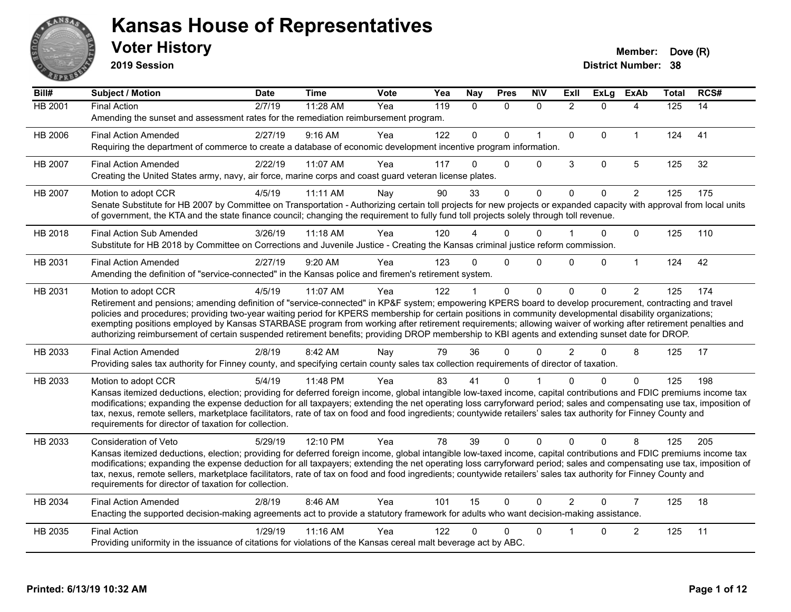

**2019 Session**

| Bill#   | Subject / Motion                                                                                                                                                                                                                                                                                                                         | <b>Date</b> | <b>Time</b> | <b>Vote</b> | Yea | <b>Nay</b>   | <b>Pres</b>    | <b>NIV</b>   | <b>Exll</b>    | <b>ExLg</b> | <b>ExAb</b>    | <b>Total</b> | RCS# |
|---------|------------------------------------------------------------------------------------------------------------------------------------------------------------------------------------------------------------------------------------------------------------------------------------------------------------------------------------------|-------------|-------------|-------------|-----|--------------|----------------|--------------|----------------|-------------|----------------|--------------|------|
| HB 2001 | <b>Final Action</b>                                                                                                                                                                                                                                                                                                                      | 2/7/19      | 11:28 AM    | Yea         | 119 | $\mathbf{0}$ | $\Omega$       | $\mathbf{0}$ | $\overline{2}$ | $\Omega$    | 4              | 125          | 14   |
|         | Amending the sunset and assessment rates for the remediation reimbursement program.                                                                                                                                                                                                                                                      |             |             |             |     |              |                |              |                |             |                |              |      |
| HB 2006 | <b>Final Action Amended</b>                                                                                                                                                                                                                                                                                                              | 2/27/19     | $9:16$ AM   | Yea         | 122 | $\mathbf{0}$ | $\Omega$       | $\mathbf{1}$ | $\mathbf{0}$   | $\Omega$    | $\mathbf{1}$   | 124          | 41   |
|         | Requiring the department of commerce to create a database of economic development incentive program information.                                                                                                                                                                                                                         |             |             |             |     |              |                |              |                |             |                |              |      |
| HB 2007 | <b>Final Action Amended</b>                                                                                                                                                                                                                                                                                                              | 2/22/19     | 11:07 AM    | Yea         | 117 | 0            | $\Omega$       | $\Omega$     | 3              | $\mathbf 0$ | 5              | 125          | 32   |
|         | Creating the United States army, navy, air force, marine corps and coast guard veteran license plates.                                                                                                                                                                                                                                   |             |             |             |     |              |                |              |                |             |                |              |      |
| HB 2007 | Motion to adopt CCR                                                                                                                                                                                                                                                                                                                      | 4/5/19      | 11:11 AM    | Nay         | 90  | 33           | 0              | $\mathbf 0$  | $\mathbf 0$    | $\Omega$    | 2              | 125          | 175  |
|         | Senate Substitute for HB 2007 by Committee on Transportation - Authorizing certain toll projects for new projects or expanded capacity with approval from local units                                                                                                                                                                    |             |             |             |     |              |                |              |                |             |                |              |      |
|         | of government, the KTA and the state finance council; changing the requirement to fully fund toll projects solely through toll revenue.                                                                                                                                                                                                  |             |             |             |     |              |                |              |                |             |                |              |      |
| HB 2018 | Final Action Sub Amended                                                                                                                                                                                                                                                                                                                 | 3/26/19     | 11:18 AM    | Yea         | 120 |              | 0              | $\Omega$     |                | 0           | $\Omega$       | 125          | 110  |
|         | Substitute for HB 2018 by Committee on Corrections and Juvenile Justice - Creating the Kansas criminal justice reform commission.                                                                                                                                                                                                        |             |             |             |     |              |                |              |                |             |                |              |      |
| HB 2031 | <b>Final Action Amended</b>                                                                                                                                                                                                                                                                                                              | 2/27/19     | 9:20 AM     | Yea         | 123 | $\Omega$     | $\Omega$       | $\Omega$     | $\Omega$       | $\Omega$    | $\mathbf{1}$   | 124          | 42   |
|         | Amending the definition of "service-connected" in the Kansas police and firemen's retirement system.                                                                                                                                                                                                                                     |             |             |             |     |              |                |              |                |             |                |              |      |
| HB 2031 | Motion to adopt CCR                                                                                                                                                                                                                                                                                                                      | 4/5/19      | 11:07 AM    | Yea         | 122 |              | $\mathbf 0$    | $\mathbf 0$  | $\Omega$       | $\Omega$    | $\overline{2}$ | 125          | 174  |
|         | Retirement and pensions; amending definition of "service-connected" in KP&F system; empowering KPERS board to develop procurement, contracting and travel                                                                                                                                                                                |             |             |             |     |              |                |              |                |             |                |              |      |
|         | policies and procedures; providing two-year waiting period for KPERS membership for certain positions in community developmental disability organizations;                                                                                                                                                                               |             |             |             |     |              |                |              |                |             |                |              |      |
|         | exempting positions employed by Kansas STARBASE program from working after retirement requirements; allowing waiver of working after retirement penalties and<br>authorizing reimbursement of certain suspended retirement benefits; providing DROP membership to KBI agents and extending sunset date for DROP.                         |             |             |             |     |              |                |              |                |             |                |              |      |
| HB 2033 | <b>Final Action Amended</b>                                                                                                                                                                                                                                                                                                              | 2/8/19      | 8:42 AM     |             | 79  | 36           | $\Omega$       | $\Omega$     | $\mathcal{P}$  | $\Omega$    | 8              | 125          | 17   |
|         | Providing sales tax authority for Finney county, and specifying certain county sales tax collection requirements of director of taxation.                                                                                                                                                                                                |             |             | Nay         |     |              |                |              |                |             |                |              |      |
|         |                                                                                                                                                                                                                                                                                                                                          |             |             |             |     |              |                |              |                |             |                |              |      |
| HB 2033 | Motion to adopt CCR<br>Kansas itemized deductions, election; providing for deferred foreign income, global intangible low-taxed income, capital contributions and FDIC premiums income tax                                                                                                                                               | 5/4/19      | 11:48 PM    | Yea         | 83  | 41           | 0              |              | n              | $\Omega$    | $\Omega$       | 125          | 198  |
|         | modifications; expanding the expense deduction for all taxpayers; extending the net operating loss carryforward period; sales and compensating use tax, imposition of                                                                                                                                                                    |             |             |             |     |              |                |              |                |             |                |              |      |
|         | tax, nexus, remote sellers, marketplace facilitators, rate of tax on food and food ingredients; countywide retailers' sales tax authority for Finney County and                                                                                                                                                                          |             |             |             |     |              |                |              |                |             |                |              |      |
|         | requirements for director of taxation for collection.                                                                                                                                                                                                                                                                                    |             |             |             |     |              |                |              |                |             |                |              |      |
| HB 2033 | Consideration of Veto                                                                                                                                                                                                                                                                                                                    | 5/29/19     | 12:10 PM    | Yea         | 78  | 39           | $\overline{0}$ | $\Omega$     | $\Omega$       | $\Omega$    | 8              | 125          | 205  |
|         | Kansas itemized deductions, election; providing for deferred foreign income, global intangible low-taxed income, capital contributions and FDIC premiums income tax                                                                                                                                                                      |             |             |             |     |              |                |              |                |             |                |              |      |
|         | modifications; expanding the expense deduction for all taxpayers; extending the net operating loss carryforward period; sales and compensating use tax, imposition of<br>tax, nexus, remote sellers, marketplace facilitators, rate of tax on food and food ingredients; countywide retailers' sales tax authority for Finney County and |             |             |             |     |              |                |              |                |             |                |              |      |
|         | requirements for director of taxation for collection.                                                                                                                                                                                                                                                                                    |             |             |             |     |              |                |              |                |             |                |              |      |
| HB 2034 | <b>Final Action Amended</b>                                                                                                                                                                                                                                                                                                              | 2/8/19      | 8:46 AM     | Yea         | 101 | 15           | $\mathbf{0}$   | $\mathbf{0}$ | $\overline{2}$ | $\Omega$    | $\overline{7}$ | 125          | 18   |
|         | Enacting the supported decision-making agreements act to provide a statutory framework for adults who want decision-making assistance.                                                                                                                                                                                                   |             |             |             |     |              |                |              |                |             |                |              |      |
| HB 2035 | <b>Final Action</b>                                                                                                                                                                                                                                                                                                                      | 1/29/19     | 11:16 AM    | Yea         | 122 | 0            | 0              | $\Omega$     |                | 0           | $\overline{c}$ | 125          | 11   |
|         | Providing uniformity in the issuance of citations for violations of the Kansas cereal malt beverage act by ABC.                                                                                                                                                                                                                          |             |             |             |     |              |                |              |                |             |                |              |      |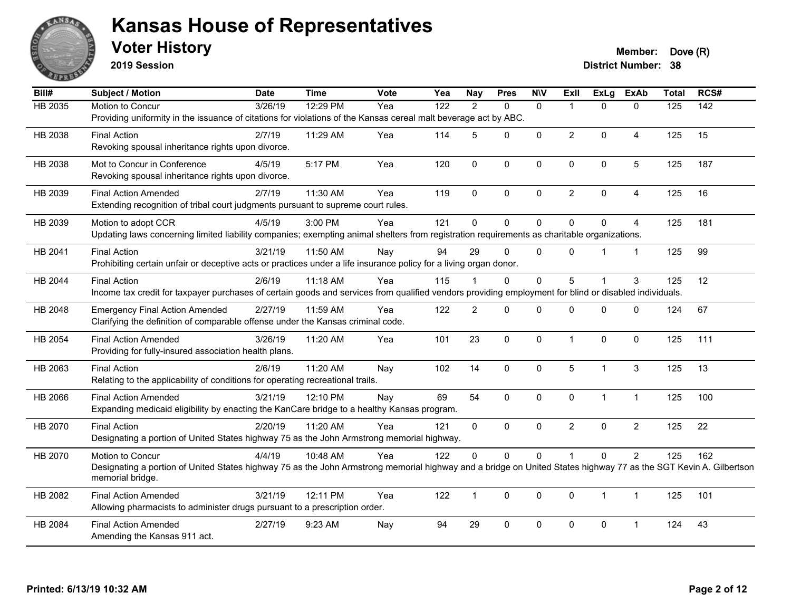

**2019 Session**

**Voter History Member: Dove (R)** 

| Bill#          | Subject / Motion                                                                                                                                                 | <b>Date</b> | <b>Time</b> | Vote | Yea | <b>Nay</b>     | <b>Pres</b>  | <b>N\V</b>   | ExII           | <b>ExLg</b>  | <b>ExAb</b>    | <b>Total</b>     | RCS#             |
|----------------|------------------------------------------------------------------------------------------------------------------------------------------------------------------|-------------|-------------|------|-----|----------------|--------------|--------------|----------------|--------------|----------------|------------------|------------------|
| <b>HB 2035</b> | Motion to Concur                                                                                                                                                 | 3/26/19     | 12:29 PM    | Yea  | 122 | $\mathcal{P}$  | $\Omega$     | $\mathbf{0}$ | $\mathbf 1$    | $\Omega$     | $\mathbf{0}$   | $\overline{125}$ | $\overline{142}$ |
|                | Providing uniformity in the issuance of citations for violations of the Kansas cereal malt beverage act by ABC.                                                  |             |             |      |     |                |              |              |                |              |                |                  |                  |
| HB 2038        | <b>Final Action</b>                                                                                                                                              | 2/7/19      | 11:29 AM    | Yea  | 114 | 5              | 0            | $\Omega$     | $\overline{2}$ | $\Omega$     | 4              | 125              | 15               |
|                | Revoking spousal inheritance rights upon divorce.                                                                                                                |             |             |      |     |                |              |              |                |              |                |                  |                  |
| HB 2038        | Mot to Concur in Conference                                                                                                                                      | 4/5/19      | 5:17 PM     | Yea  | 120 | $\mathbf 0$    | 0            | $\mathbf 0$  | $\Omega$       | 0            | $\overline{5}$ | 125              | 187              |
|                | Revoking spousal inheritance rights upon divorce.                                                                                                                |             |             |      |     |                |              |              |                |              |                |                  |                  |
| HB 2039        | <b>Final Action Amended</b>                                                                                                                                      | 2/7/19      | 11:30 AM    | Yea  | 119 | $\Omega$       | $\mathbf 0$  | $\mathbf 0$  | $\overline{2}$ | $\Omega$     | $\overline{4}$ | 125              | 16               |
|                | Extending recognition of tribal court judgments pursuant to supreme court rules.                                                                                 |             |             |      |     |                |              |              |                |              |                |                  |                  |
| HB 2039        | Motion to adopt CCR                                                                                                                                              | 4/5/19      | 3:00 PM     | Yea  | 121 | $\Omega$       | $\mathbf 0$  | $\Omega$     | $\Omega$       | $\Omega$     | $\overline{4}$ | 125              | 181              |
|                | Updating laws concerning limited liability companies; exempting animal shelters from registration requirements as charitable organizations.                      |             |             |      |     |                |              |              |                |              |                |                  |                  |
| HB 2041        | <b>Final Action</b>                                                                                                                                              | 3/21/19     | 11:50 AM    | Nay  | 94  | 29             | $\Omega$     | $\mathbf{0}$ | $\Omega$       |              | $\overline{1}$ | 125              | 99               |
|                | Prohibiting certain unfair or deceptive acts or practices under a life insurance policy for a living organ donor.                                                |             |             |      |     |                |              |              |                |              |                |                  |                  |
| HB 2044        | <b>Final Action</b>                                                                                                                                              | 2/6/19      | 11:18 AM    | Yea  | 115 |                | 0            | $\mathbf 0$  | 5              | 1            | 3              | 125              | 12               |
|                | Income tax credit for taxpayer purchases of certain goods and services from qualified vendors providing employment for blind or disabled individuals.            |             |             |      |     |                |              |              |                |              |                |                  |                  |
| HB 2048        | <b>Emergency Final Action Amended</b>                                                                                                                            | 2/27/19     | 11:59 AM    | Yea  | 122 | $\overline{2}$ | $\Omega$     | $\Omega$     | $\Omega$       | $\Omega$     | $\Omega$       | 124              | 67               |
|                | Clarifying the definition of comparable offense under the Kansas criminal code.                                                                                  |             |             |      |     |                |              |              |                |              |                |                  |                  |
| HB 2054        | <b>Final Action Amended</b>                                                                                                                                      | 3/26/19     | 11:20 AM    | Yea  | 101 | 23             | 0            | $\mathbf 0$  | $\mathbf 1$    | $\Omega$     | $\mathbf 0$    | 125              | 111              |
|                | Providing for fully-insured association health plans.                                                                                                            |             |             |      |     |                |              |              |                |              |                |                  |                  |
| HB 2063        | <b>Final Action</b>                                                                                                                                              | 2/6/19      | 11:20 AM    | Nay  | 102 | 14             | $\pmb{0}$    | $\pmb{0}$    | 5              | $\mathbf{1}$ | 3              | 125              | 13               |
|                | Relating to the applicability of conditions for operating recreational trails.                                                                                   |             |             |      |     |                |              |              |                |              |                |                  |                  |
| HB 2066        | <b>Final Action Amended</b>                                                                                                                                      | 3/21/19     | 12:10 PM    | Nay  | 69  | 54             | $\mathbf{0}$ | $\mathbf{0}$ | $\mathbf{0}$   | $\mathbf{1}$ | $\overline{1}$ | 125              | 100              |
|                | Expanding medicaid eligibility by enacting the KanCare bridge to a healthy Kansas program.                                                                       |             |             |      |     |                |              |              |                |              |                |                  |                  |
| HB 2070        | <b>Final Action</b>                                                                                                                                              | 2/20/19     | 11:20 AM    | Yea  | 121 | 0              | $\Omega$     | $\mathbf{0}$ | $\overline{2}$ | $\Omega$     | $\overline{2}$ | 125              | 22               |
|                | Designating a portion of United States highway 75 as the John Armstrong memorial highway.                                                                        |             |             |      |     |                |              |              |                |              |                |                  |                  |
| HB 2070        | Motion to Concur                                                                                                                                                 | 4/4/19      | 10:48 AM    | Yea  | 122 | 0              | $\mathbf 0$  | $\mathbf 0$  |                | $\mathbf 0$  | $\overline{2}$ | 125              | 162              |
|                | Designating a portion of United States highway 75 as the John Armstrong memorial highway and a bridge on United States highway 77 as the SGT Kevin A. Gilbertson |             |             |      |     |                |              |              |                |              |                |                  |                  |
|                | memorial bridge.                                                                                                                                                 |             |             |      |     |                |              |              |                |              |                |                  |                  |
| HB 2082        | <b>Final Action Amended</b>                                                                                                                                      | 3/21/19     | 12:11 PM    | Yea  | 122 | $\mathbf{1}$   | $\mathbf 0$  | $\mathbf 0$  | $\mathbf 0$    | $\mathbf{1}$ | $\overline{1}$ | 125              | 101              |
|                | Allowing pharmacists to administer drugs pursuant to a prescription order.                                                                                       |             |             |      |     |                |              |              |                |              |                |                  |                  |
| HB 2084        | <b>Final Action Amended</b>                                                                                                                                      | 2/27/19     | 9:23 AM     | Nay  | 94  | 29             | $\mathbf 0$  | $\Omega$     | $\Omega$       | 0            | $\overline{1}$ | 124              | 43               |
|                | Amending the Kansas 911 act.                                                                                                                                     |             |             |      |     |                |              |              |                |              |                |                  |                  |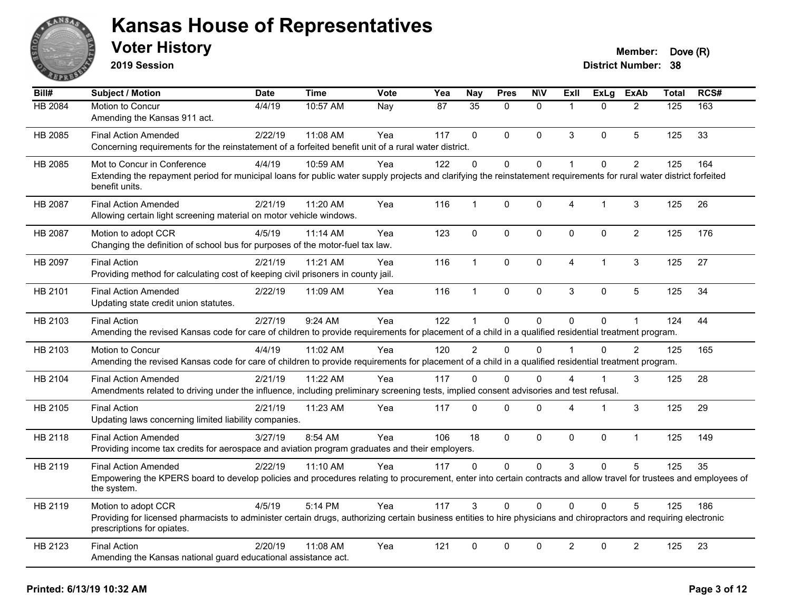

**2019 Session**

| Bill#          | Subject / Motion                                                                                                                                                                                  | <b>Date</b> | <b>Time</b> | <b>Vote</b> | Yea | <b>Nay</b>      | <b>Pres</b>  | <b>N\V</b>   | ExII                 | <b>ExLg</b> | <b>ExAb</b>    | <b>Total</b> | RCS# |
|----------------|---------------------------------------------------------------------------------------------------------------------------------------------------------------------------------------------------|-------------|-------------|-------------|-----|-----------------|--------------|--------------|----------------------|-------------|----------------|--------------|------|
| <b>HB 2084</b> | Motion to Concur                                                                                                                                                                                  | 4/4/19      | 10:57 AM    | Nay         | 87  | $\overline{35}$ | $\Omega$     | $\mathbf{0}$ | $\mathbf{1}$         | $\Omega$    | $\overline{2}$ | 125          | 163  |
|                | Amending the Kansas 911 act.                                                                                                                                                                      |             |             |             |     |                 |              |              |                      |             |                |              |      |
| HB 2085        | <b>Final Action Amended</b>                                                                                                                                                                       | 2/22/19     | 11:08 AM    | Yea         | 117 | $\Omega$        | $\Omega$     | $\mathbf{0}$ | 3                    | $\Omega$    | 5              | 125          | 33   |
|                | Concerning requirements for the reinstatement of a forfeited benefit unit of a rural water district.                                                                                              |             |             |             |     |                 |              |              |                      |             |                |              |      |
| HB 2085        | Mot to Concur in Conference                                                                                                                                                                       | 4/4/19      | 10:59 AM    | Yea         | 122 | $\Omega$        | $\Omega$     | $\pmb{0}$    | $\blacktriangleleft$ | $\Omega$    | $\overline{2}$ | 125          | 164  |
|                | Extending the repayment period for municipal loans for public water supply projects and clarifying the reinstatement requirements for rural water district forfeited<br>benefit units.            |             |             |             |     |                 |              |              |                      |             |                |              |      |
| HB 2087        | <b>Final Action Amended</b>                                                                                                                                                                       | 2/21/19     | 11:20 AM    | Yea         | 116 | $\mathbf{1}$    | 0            | $\pmb{0}$    | 4                    | $\mathbf 1$ | 3              | 125          | 26   |
|                | Allowing certain light screening material on motor vehicle windows.                                                                                                                               |             |             |             |     |                 |              |              |                      |             |                |              |      |
| HB 2087        | Motion to adopt CCR                                                                                                                                                                               | 4/5/19      | 11:14 AM    | Yea         | 123 | $\mathbf 0$     | $\mathbf 0$  | $\mathbf 0$  | $\mathbf{0}$         | 0           | $\overline{2}$ | 125          | 176  |
|                | Changing the definition of school bus for purposes of the motor-fuel tax law.                                                                                                                     |             |             |             |     |                 |              |              |                      |             |                |              |      |
| HB 2097        | <b>Final Action</b>                                                                                                                                                                               | 2/21/19     | 11:21 AM    | Yea         | 116 | $\mathbf 1$     | $\mathbf{0}$ | $\mathbf 0$  | $\overline{4}$       | 1           | 3              | 125          | 27   |
|                | Providing method for calculating cost of keeping civil prisoners in county jail.                                                                                                                  |             |             |             |     |                 |              |              |                      |             |                |              |      |
| HB 2101        | <b>Final Action Amended</b>                                                                                                                                                                       | 2/22/19     | 11:09 AM    | Yea         | 116 | $\mathbf 1$     | $\Omega$     | $\mathbf 0$  | 3                    | $\Omega$    | 5              | 125          | 34   |
|                | Updating state credit union statutes.                                                                                                                                                             |             |             |             |     |                 |              |              |                      |             |                |              |      |
| HB 2103        | <b>Final Action</b>                                                                                                                                                                               | 2/27/19     | 9:24 AM     | Yea         | 122 |                 | 0            | $\mathbf 0$  | $\mathbf{0}$         | $\Omega$    | 1              | 124          | 44   |
|                | Amending the revised Kansas code for care of children to provide requirements for placement of a child in a qualified residential treatment program.                                              |             |             |             |     |                 |              |              |                      |             |                |              |      |
| HB 2103        | Motion to Concur                                                                                                                                                                                  | 4/4/19      | 11:02 AM    | Yea         | 120 | $\overline{2}$  | $\Omega$     | $\Omega$     | $\overline{1}$       | $\Omega$    | $\overline{2}$ | 125          | 165  |
|                | Amending the revised Kansas code for care of children to provide requirements for placement of a child in a qualified residential treatment program.                                              |             |             |             |     |                 |              |              |                      |             |                |              |      |
| HB 2104        | <b>Final Action Amended</b>                                                                                                                                                                       | 2/21/19     | 11:22 AM    | Yea         | 117 | $\Omega$        | $\Omega$     | $\Omega$     | 4                    |             | 3              | 125          | 28   |
|                | Amendments related to driving under the influence, including preliminary screening tests, implied consent advisories and test refusal.                                                            |             |             |             |     |                 |              |              |                      |             |                |              |      |
| HB 2105        | <b>Final Action</b>                                                                                                                                                                               | 2/21/19     | 11:23 AM    | Yea         | 117 | $\Omega$        | $\Omega$     | $\mathbf 0$  | 4                    | 1           | 3              | 125          | 29   |
|                | Updating laws concerning limited liability companies.                                                                                                                                             |             |             |             |     |                 |              |              |                      |             |                |              |      |
| HB 2118        | <b>Final Action Amended</b>                                                                                                                                                                       | 3/27/19     | 8:54 AM     | Yea         | 106 | 18              | $\mathbf{0}$ | $\mathbf 0$  | $\mathbf{0}$         | $\Omega$    | $\mathbf{1}$   | 125          | 149  |
|                | Providing income tax credits for aerospace and aviation program graduates and their employers.                                                                                                    |             |             |             |     |                 |              |              |                      |             |                |              |      |
| HB 2119        | <b>Final Action Amended</b>                                                                                                                                                                       | 2/22/19     | 11:10 AM    | Yea         | 117 | $\Omega$        | $\Omega$     | $\mathbf{0}$ | 3                    | $\Omega$    | 5              | 125          | 35   |
|                | Empowering the KPERS board to develop policies and procedures relating to procurement, enter into certain contracts and allow travel for trustees and employees of<br>the system.                 |             |             |             |     |                 |              |              |                      |             |                |              |      |
| HB 2119        | Motion to adopt CCR                                                                                                                                                                               | 4/5/19      | 5:14 PM     | Yea         | 117 | 3               | 0            | $\mathbf{0}$ | $\Omega$             | $\Omega$    | 5              | 125          | 186  |
|                | Providing for licensed pharmacists to administer certain drugs, authorizing certain business entities to hire physicians and chiropractors and requiring electronic<br>prescriptions for opiates. |             |             |             |     |                 |              |              |                      |             |                |              |      |
| HB 2123        | <b>Final Action</b>                                                                                                                                                                               | 2/20/19     | 11:08 AM    | Yea         | 121 | $\mathbf 0$     | 0            | $\mathbf 0$  | $\overline{2}$       | $\mathbf 0$ | $\overline{2}$ | 125          | 23   |
|                | Amending the Kansas national guard educational assistance act.                                                                                                                                    |             |             |             |     |                 |              |              |                      |             |                |              |      |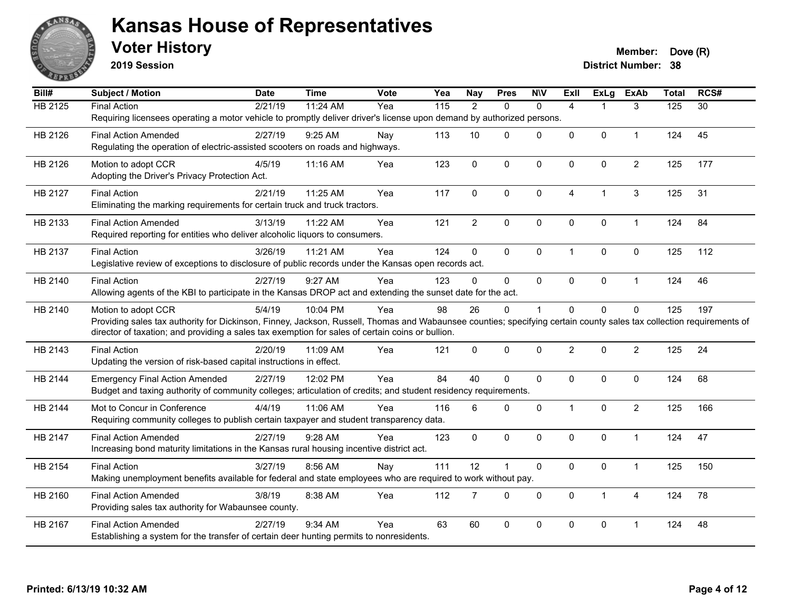

**2019 Session**

| Bill#          | <b>Subject / Motion</b>                                                                                                                                              | <b>Date</b> | <b>Time</b> | Vote | Yea | <b>Nay</b>     | <b>Pres</b>    | <b>N\V</b>   | <b>Exll</b>             | ExLg                 | <b>ExAb</b>    | <b>Total</b> | RCS#            |
|----------------|----------------------------------------------------------------------------------------------------------------------------------------------------------------------|-------------|-------------|------|-----|----------------|----------------|--------------|-------------------------|----------------------|----------------|--------------|-----------------|
| <b>HB 2125</b> | <b>Final Action</b>                                                                                                                                                  | 2/21/19     | 11:24 AM    | Yea  | 115 | $\overline{2}$ | $\Omega$       | $\mathbf{0}$ | $\overline{4}$          |                      | 3              | 125          | $\overline{30}$ |
|                | Requiring licensees operating a motor vehicle to promptly deliver driver's license upon demand by authorized persons.                                                |             |             |      |     |                |                |              |                         |                      |                |              |                 |
| HB 2126        | <b>Final Action Amended</b>                                                                                                                                          | 2/27/19     | $9:25$ AM   | Nay  | 113 | 10             | $\Omega$       | $\Omega$     | $\Omega$                | $\Omega$             | $\mathbf{1}$   | 124          | 45              |
|                | Regulating the operation of electric-assisted scooters on roads and highways.                                                                                        |             |             |      |     |                |                |              |                         |                      |                |              |                 |
| HB 2126        | Motion to adopt CCR                                                                                                                                                  | 4/5/19      | 11:16 AM    | Yea  | 123 | $\mathbf 0$    | 0              | $\mathbf 0$  | $\Omega$                | $\mathbf 0$          | $\overline{2}$ | 125          | 177             |
|                | Adopting the Driver's Privacy Protection Act.                                                                                                                        |             |             |      |     |                |                |              |                         |                      |                |              |                 |
| HB 2127        | <b>Final Action</b>                                                                                                                                                  | 2/21/19     | 11:25 AM    | Yea  | 117 | 0              | $\mathbf 0$    | $\pmb{0}$    | $\overline{4}$          | $\blacktriangleleft$ | $\mathbf{3}$   | 125          | 31              |
|                | Eliminating the marking requirements for certain truck and truck tractors.                                                                                           |             |             |      |     |                |                |              |                         |                      |                |              |                 |
| HB 2133        | <b>Final Action Amended</b>                                                                                                                                          | 3/13/19     | 11:22 AM    | Yea  | 121 | $\overline{2}$ | 0              | $\mathbf 0$  | 0                       | $\mathbf 0$          | $\mathbf{1}$   | 124          | 84              |
|                | Required reporting for entities who deliver alcoholic liquors to consumers.                                                                                          |             |             |      |     |                |                |              |                         |                      |                |              |                 |
|                |                                                                                                                                                                      |             |             |      |     |                |                |              |                         |                      |                |              |                 |
| HB 2137        | <b>Final Action</b><br>Legislative review of exceptions to disclosure of public records under the Kansas open records act.                                           | 3/26/19     | 11:21 AM    | Yea  | 124 | $\Omega$       | $\Omega$       | $\mathbf 0$  | $\overline{\mathbf{1}}$ | $\mathbf{0}$         | $\mathbf 0$    | 125          | 112             |
|                |                                                                                                                                                                      |             |             |      |     |                |                |              |                         |                      |                |              |                 |
| HB 2140        | <b>Final Action</b>                                                                                                                                                  | 2/27/19     | 9:27 AM     | Yea  | 123 | $\Omega$       | 0              | $\mathbf 0$  | 0                       | 0                    | $\mathbf{1}$   | 124          | 46              |
|                | Allowing agents of the KBI to participate in the Kansas DROP act and extending the sunset date for the act.                                                          |             |             |      |     |                |                |              |                         |                      |                |              |                 |
| HB 2140        | Motion to adopt CCR                                                                                                                                                  | 5/4/19      | 10:04 PM    | Yea  | 98  | 26             | $\Omega$       | 1            | $\Omega$                | $\Omega$             | $\mathbf{0}$   | 125          | 197             |
|                | Providing sales tax authority for Dickinson, Finney, Jackson, Russell, Thomas and Wabaunsee counties; specifying certain county sales tax collection requirements of |             |             |      |     |                |                |              |                         |                      |                |              |                 |
|                | director of taxation; and providing a sales tax exemption for sales of certain coins or bullion.                                                                     |             |             |      |     |                |                |              |                         |                      |                |              |                 |
| HB 2143        | <b>Final Action</b>                                                                                                                                                  | 2/20/19     | 11:09 AM    | Yea  | 121 | $\mathbf 0$    | 0              | $\mathbf 0$  | $\overline{2}$          | $\mathbf 0$          | $\overline{c}$ | 125          | 24              |
|                | Updating the version of risk-based capital instructions in effect.                                                                                                   |             |             |      |     |                |                |              |                         |                      |                |              |                 |
| HB 2144        | <b>Emergency Final Action Amended</b>                                                                                                                                | 2/27/19     | 12:02 PM    | Yea  | 84  | 40             | $\Omega$       | $\mathbf{0}$ | $\Omega$                | $\Omega$             | $\mathbf 0$    | 124          | 68              |
|                | Budget and taxing authority of community colleges; articulation of credits; and student residency requirements.                                                      |             |             |      |     |                |                |              |                         |                      |                |              |                 |
| HB 2144        | Mot to Concur in Conference                                                                                                                                          | 4/4/19      | 11:06 AM    | Yea  | 116 | 6              | 0              | $\mathbf 0$  | $\mathbf 1$             | $\mathbf 0$          | $\overline{c}$ | 125          | 166             |
|                | Requiring community colleges to publish certain taxpayer and student transparency data.                                                                              |             |             |      |     |                |                |              |                         |                      |                |              |                 |
| HB 2147        | <b>Final Action Amended</b>                                                                                                                                          | 2/27/19     | 9:28 AM     | Yea  | 123 | $\mathbf 0$    | 0              | $\mathbf 0$  | $\Omega$                | $\mathbf{0}$         | $\mathbf{1}$   | 124          | 47              |
|                | Increasing bond maturity limitations in the Kansas rural housing incentive district act.                                                                             |             |             |      |     |                |                |              |                         |                      |                |              |                 |
| HB 2154        | <b>Final Action</b>                                                                                                                                                  | 3/27/19     | 8:56 AM     | Nav  | 111 | 12             | $\overline{1}$ | $\mathbf 0$  | 0                       | $\mathbf 0$          | $\mathbf{1}$   | 125          | 150             |
|                | Making unemployment benefits available for federal and state employees who are required to work without pay.                                                         |             |             |      |     |                |                |              |                         |                      |                |              |                 |
|                |                                                                                                                                                                      |             |             |      |     |                |                |              |                         |                      |                |              |                 |
| HB 2160        | <b>Final Action Amended</b>                                                                                                                                          | 3/8/19      | 8:38 AM     | Yea  | 112 | $\overline{7}$ | $\mathbf 0$    | $\mathbf 0$  | 0                       | $\mathbf{1}$         | $\overline{4}$ | 124          | 78              |
|                | Providing sales tax authority for Wabaunsee county.                                                                                                                  |             |             |      |     |                |                |              |                         |                      |                |              |                 |
| HB 2167        | <b>Final Action Amended</b>                                                                                                                                          | 2/27/19     | 9:34 AM     | Yea  | 63  | 60             | $\Omega$       | $\Omega$     | $\Omega$                | $\Omega$             | 1              | 124          | 48              |
|                | Establishing a system for the transfer of certain deer hunting permits to nonresidents.                                                                              |             |             |      |     |                |                |              |                         |                      |                |              |                 |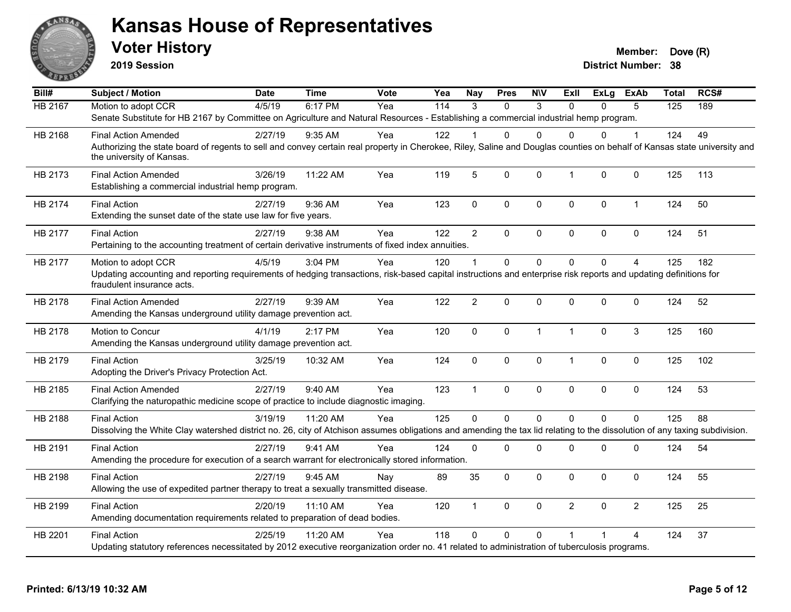

**2019 Session**

| Bill#          | <b>Subject / Motion</b>                                                                                                                                                                                               | Date    | <b>Time</b> | Vote | Yea | <b>Nay</b>     | <b>Pres</b>    | <b>NIV</b>   | Exll           | <b>ExLg</b>  | <b>ExAb</b>    | <b>Total</b> | RCS# |
|----------------|-----------------------------------------------------------------------------------------------------------------------------------------------------------------------------------------------------------------------|---------|-------------|------|-----|----------------|----------------|--------------|----------------|--------------|----------------|--------------|------|
| <b>HB 2167</b> | Motion to adopt CCR                                                                                                                                                                                                   | 4/5/19  | 6:17 PM     | Yea  | 114 | 3              | $\Omega$       | 3            | $\Omega$       | $\Omega$     | 5              | 125          | 189  |
|                | Senate Substitute for HB 2167 by Committee on Agriculture and Natural Resources - Establishing a commercial industrial hemp program.                                                                                  |         |             |      |     |                |                |              |                |              |                |              |      |
| HB 2168        | <b>Final Action Amended</b>                                                                                                                                                                                           | 2/27/19 | $9:35$ AM   | Yea  | 122 |                | 0              | $\Omega$     | $\Omega$       | $\Omega$     | 1              | 124          | 49   |
|                | Authorizing the state board of regents to sell and convey certain real property in Cherokee, Riley, Saline and Douglas counties on behalf of Kansas state university and<br>the university of Kansas.                 |         |             |      |     |                |                |              |                |              |                |              |      |
| HB 2173        | <b>Final Action Amended</b><br>Establishing a commercial industrial hemp program.                                                                                                                                     | 3/26/19 | 11:22 AM    | Yea  | 119 | 5              | 0              | $\mathbf 0$  | $\mathbf{1}$   | 0            | $\mathbf 0$    | 125          | 113  |
| HB 2174        | <b>Final Action</b><br>Extending the sunset date of the state use law for five years.                                                                                                                                 | 2/27/19 | 9:36 AM     | Yea  | 123 | $\mathbf{0}$   | 0              | $\mathbf 0$  | $\mathbf 0$    | $\mathbf{0}$ | 1              | 124          | 50   |
| HB 2177        | <b>Final Action</b><br>Pertaining to the accounting treatment of certain derivative instruments of fixed index annuities.                                                                                             | 2/27/19 | 9:38 AM     | Yea  | 122 | $\overline{2}$ | $\Omega$       | $\mathbf{0}$ | $\mathbf{0}$   | $\Omega$     | $\mathbf{0}$   | 124          | 51   |
| HB 2177        | Motion to adopt CCR<br>Updating accounting and reporting requirements of hedging transactions, risk-based capital instructions and enterprise risk reports and updating definitions for<br>fraudulent insurance acts. | 4/5/19  | 3:04 PM     | Yea  | 120 |                | $\Omega$       | $\Omega$     | $\Omega$       | $\Omega$     | 4              | 125          | 182  |
| HB 2178        | <b>Final Action Amended</b><br>Amending the Kansas underground utility damage prevention act.                                                                                                                         | 2/27/19 | 9:39 AM     | Yea  | 122 | $\overline{2}$ | 0              | $\mathbf 0$  | $\mathbf 0$    | $\Omega$     | $\mathbf 0$    | 124          | 52   |
| HB 2178        | Motion to Concur<br>Amending the Kansas underground utility damage prevention act.                                                                                                                                    | 4/1/19  | 2:17 PM     | Yea  | 120 | $\mathbf 0$    | 0              | $\mathbf{1}$ | $\overline{1}$ | $\Omega$     | 3              | 125          | 160  |
| HB 2179        | <b>Final Action</b><br>Adopting the Driver's Privacy Protection Act.                                                                                                                                                  | 3/25/19 | 10:32 AM    | Yea  | 124 | 0              | 0              | $\mathbf 0$  | $\mathbf{1}$   | 0            | 0              | 125          | 102  |
| HB 2185        | <b>Final Action Amended</b><br>Clarifying the naturopathic medicine scope of practice to include diagnostic imaging.                                                                                                  | 2/27/19 | 9:40 AM     | Yea  | 123 | $\overline{1}$ | 0              | $\mathbf 0$  | $\mathbf 0$    | $\Omega$     | $\mathbf 0$    | 124          | 53   |
| HB 2188        | <b>Final Action</b><br>Dissolving the White Clay watershed district no. 26, city of Atchison assumes obligations and amending the tax lid relating to the dissolution of any taxing subdivision.                      | 3/19/19 | 11:20 AM    | Yea  | 125 | $\Omega$       | $\overline{0}$ | $\Omega$     | $\Omega$       | $\Omega$     | $\Omega$       | 125          | 88   |
| HB 2191        | <b>Final Action</b><br>Amending the procedure for execution of a search warrant for electronically stored information.                                                                                                | 2/27/19 | 9:41 AM     | Yea  | 124 | $\Omega$       | 0              | 0            | $\mathbf 0$    | 0            | 0              | 124          | 54   |
| HB 2198        | <b>Final Action</b><br>Allowing the use of expedited partner therapy to treat a sexually transmitted disease.                                                                                                         | 2/27/19 | 9:45 AM     | Nay  | 89  | 35             | 0              | $\mathbf 0$  | $\mathbf{0}$   | $\Omega$     | $\mathbf 0$    | 124          | 55   |
| HB 2199        | <b>Final Action</b><br>Amending documentation requirements related to preparation of dead bodies.                                                                                                                     | 2/20/19 | 11:10 AM    | Yea  | 120 | $\mathbf{1}$   | 0              | $\mathbf 0$  | $\overline{2}$ | $\Omega$     | $\overline{2}$ | 125          | 25   |
| HB 2201        | <b>Final Action</b><br>Updating statutory references necessitated by 2012 executive reorganization order no. 41 related to administration of tuberculosis programs.                                                   | 2/25/19 | 11:20 AM    | Yea  | 118 | $\Omega$       | 0              | $\Omega$     |                |              | 4              | 124          | 37   |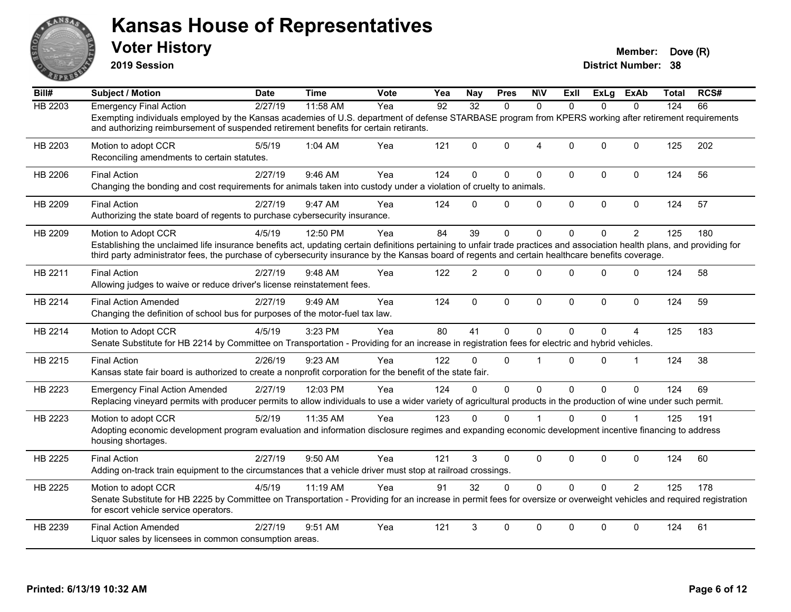

**2019 Session**

| Bill#          | <b>Subject / Motion</b>                                                                                                                                                                                                                                                                                                       | <b>Date</b> | <b>Time</b> | <b>Vote</b> | Yea | Nav            | <b>Pres</b>  | <b>NIV</b>  | ExII         | ExLg         | <b>ExAb</b>    | <b>Total</b> | RCS# |
|----------------|-------------------------------------------------------------------------------------------------------------------------------------------------------------------------------------------------------------------------------------------------------------------------------------------------------------------------------|-------------|-------------|-------------|-----|----------------|--------------|-------------|--------------|--------------|----------------|--------------|------|
| <b>HB 2203</b> | <b>Emergency Final Action</b>                                                                                                                                                                                                                                                                                                 | 2/27/19     | 11:58 AM    | Yea         | 92  | 32             | $\Omega$     | $\Omega$    | $\Omega$     | $\Omega$     | $\Omega$       | 124          | 66   |
|                | Exempting individuals employed by the Kansas academies of U.S. department of defense STARBASE program from KPERS working after retirement requirements<br>and authorizing reimbursement of suspended retirement benefits for certain retirants.                                                                               |             |             |             |     |                |              |             |              |              |                |              |      |
| HB 2203        | Motion to adopt CCR<br>Reconciling amendments to certain statutes.                                                                                                                                                                                                                                                            | 5/5/19      | 1:04 AM     | Yea         | 121 | $\Omega$       | $\mathbf{0}$ | 4           | $\Omega$     | $\mathbf{0}$ | $\mathbf 0$    | 125          | 202  |
| HB 2206        | <b>Final Action</b><br>Changing the bonding and cost requirements for animals taken into custody under a violation of cruelty to animals.                                                                                                                                                                                     | 2/27/19     | 9:46 AM     | Yea         | 124 | $\Omega$       | $\mathbf{0}$ | 0           | $\mathbf 0$  | 0            | $\mathbf 0$    | 124          | 56   |
| HB 2209        | <b>Final Action</b><br>Authorizing the state board of regents to purchase cybersecurity insurance.                                                                                                                                                                                                                            | 2/27/19     | 9:47 AM     | Yea         | 124 | $\Omega$       | $\mathbf{0}$ | 0           | $\mathbf 0$  | 0            | $\pmb{0}$      | 124          | 57   |
| HB 2209        | Motion to Adopt CCR                                                                                                                                                                                                                                                                                                           | 4/5/19      | 12:50 PM    | Yea         | 84  | 39             | $\mathbf{0}$ | $\Omega$    | $\Omega$     | $\Omega$     | $\overline{2}$ | 125          | 180  |
|                | Establishing the unclaimed life insurance benefits act, updating certain definitions pertaining to unfair trade practices and association health plans, and providing for<br>third party administrator fees, the purchase of cybersecurity insurance by the Kansas board of regents and certain healthcare benefits coverage. |             |             |             |     |                |              |             |              |              |                |              |      |
| HB 2211        | <b>Final Action</b><br>Allowing judges to waive or reduce driver's license reinstatement fees.                                                                                                                                                                                                                                | 2/27/19     | 9:48 AM     | Yea         | 122 | $\overline{2}$ | $\Omega$     | $\Omega$    | $\Omega$     | $\Omega$     | $\mathbf 0$    | 124          | 58   |
| HB 2214        | <b>Final Action Amended</b><br>Changing the definition of school bus for purposes of the motor-fuel tax law.                                                                                                                                                                                                                  | 2/27/19     | 9:49 AM     | Yea         | 124 | $\mathbf 0$    | 0            | $\mathbf 0$ | $\mathbf 0$  | 0            | $\mathbf 0$    | 124          | 59   |
| HB 2214        | Motion to Adopt CCR<br>Senate Substitute for HB 2214 by Committee on Transportation - Providing for an increase in registration fees for electric and hybrid vehicles.                                                                                                                                                        | 4/5/19      | 3:23 PM     | Yea         | 80  | 41             | $\mathbf 0$  | 0           | $\mathbf{0}$ | $\Omega$     | 4              | 125          | 183  |
| HB 2215        | <b>Final Action</b><br>Kansas state fair board is authorized to create a nonprofit corporation for the benefit of the state fair.                                                                                                                                                                                             | 2/26/19     | 9:23 AM     | Yea         | 122 | 0              | 0            | 1           | $\Omega$     | 0            | 1              | 124          | 38   |
| HB 2223        | <b>Emergency Final Action Amended</b><br>Replacing vineyard permits with producer permits to allow individuals to use a wider variety of agricultural products in the production of wine under such permit.                                                                                                                   | 2/27/19     | 12:03 PM    | Yea         | 124 | $\Omega$       | $\Omega$     | $\mathbf 0$ | $\Omega$     | $\Omega$     | $\mathbf 0$    | 124          | 69   |
| HB 2223        | Motion to adopt CCR<br>Adopting economic development program evaluation and information disclosure regimes and expanding economic development incentive financing to address<br>housing shortages.                                                                                                                            | 5/2/19      | 11:35 AM    | Yea         | 123 | $\Omega$       | $\Omega$     |             | $\Omega$     | 0            |                | 125          | 191  |
| HB 2225        | <b>Final Action</b><br>Adding on-track train equipment to the circumstances that a vehicle driver must stop at railroad crossings.                                                                                                                                                                                            | 2/27/19     | 9:50 AM     | Yea         | 121 | 3              | $\mathbf{0}$ | $\Omega$    | $\mathbf{0}$ | $\mathbf{0}$ | $\Omega$       | 124          | 60   |
| HB 2225        | Motion to adopt CCR<br>Senate Substitute for HB 2225 by Committee on Transportation - Providing for an increase in permit fees for oversize or overweight vehicles and required registration<br>for escort vehicle service operators.                                                                                         | 4/5/19      | 11:19 AM    | Yea         | 91  | 32             | $\Omega$     | $\Omega$    | $\Omega$     | $\Omega$     | $\mathcal{P}$  | 125          | 178  |
| HB 2239        | <b>Final Action Amended</b><br>Liquor sales by licensees in common consumption areas.                                                                                                                                                                                                                                         | 2/27/19     | 9:51 AM     | Yea         | 121 | 3              | $\Omega$     | $\Omega$    | $\Omega$     | $\Omega$     | $\Omega$       | 124          | 61   |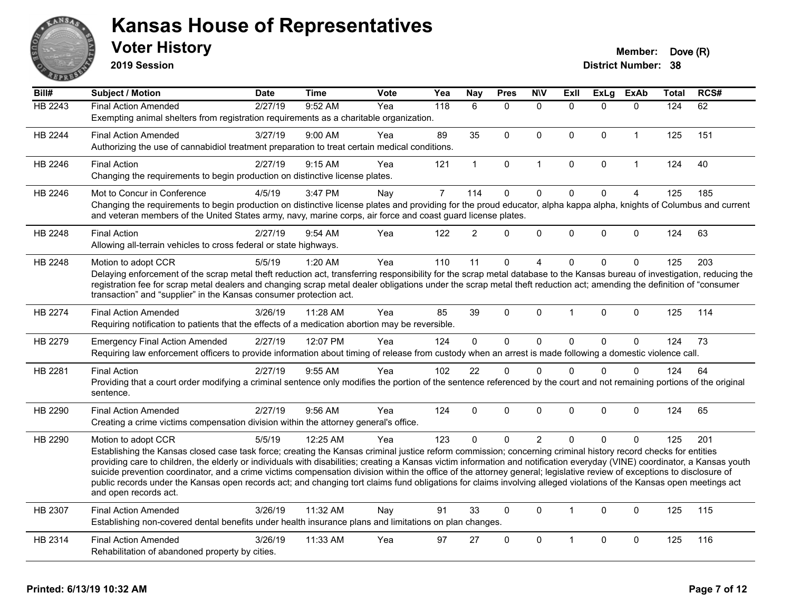

**2019 Session**

| Bill#   | <b>Subject / Motion</b>                                                                                                                                                                                                                                                                                                                               | <b>Date</b> | <b>Time</b> | <b>Vote</b> | Yea            | Nay            | <b>Pres</b>  | <b>N\V</b>     | <b>Exll</b>  | <b>ExLg</b> | <b>ExAb</b>    | <b>Total</b> | RCS# |
|---------|-------------------------------------------------------------------------------------------------------------------------------------------------------------------------------------------------------------------------------------------------------------------------------------------------------------------------------------------------------|-------------|-------------|-------------|----------------|----------------|--------------|----------------|--------------|-------------|----------------|--------------|------|
| HB 2243 | <b>Final Action Amended</b>                                                                                                                                                                                                                                                                                                                           | 2/27/19     | 9:52 AM     | Yea         | 118            | 6              | $\Omega$     | $\mathbf{0}$   | $\Omega$     | $\Omega$    | $\mathbf{0}$   | 124          | 62   |
|         | Exempting animal shelters from registration requirements as a charitable organization.                                                                                                                                                                                                                                                                |             |             |             |                |                |              |                |              |             |                |              |      |
| HB 2244 | <b>Final Action Amended</b>                                                                                                                                                                                                                                                                                                                           | 3/27/19     | 9:00 AM     | Yea         | 89             | 35             | $\mathbf{0}$ | $\mathbf{0}$   | $\mathbf{0}$ | $\Omega$    | $\mathbf{1}$   | 125          | 151  |
|         | Authorizing the use of cannabidiol treatment preparation to treat certain medical conditions.                                                                                                                                                                                                                                                         |             |             |             |                |                |              |                |              |             |                |              |      |
| HB 2246 | <b>Final Action</b>                                                                                                                                                                                                                                                                                                                                   | 2/27/19     | 9:15 AM     | Yea         | 121            | $\mathbf{1}$   | $\pmb{0}$    | $\mathbf{1}$   | $\mathbf 0$  | $\mathbf 0$ | $\mathbf{1}$   | 124          | 40   |
|         | Changing the requirements to begin production on distinctive license plates.                                                                                                                                                                                                                                                                          |             |             |             |                |                |              |                |              |             |                |              |      |
| HB 2246 | Mot to Concur in Conference                                                                                                                                                                                                                                                                                                                           | 4/5/19      | 3:47 PM     | Nay         | $\overline{7}$ | 114            | $\mathbf 0$  | $\mathbf 0$    | $\mathbf 0$  | $\mathbf 0$ | $\overline{4}$ | 125          | 185  |
|         | Changing the requirements to begin production on distinctive license plates and providing for the proud educator, alpha kappa alpha, knights of Columbus and current<br>and veteran members of the United States army, navy, marine corps, air force and coast guard license plates.                                                                  |             |             |             |                |                |              |                |              |             |                |              |      |
| HB 2248 | <b>Final Action</b>                                                                                                                                                                                                                                                                                                                                   | 2/27/19     | $9:54$ AM   | Yea         | 122            | $\overline{2}$ | $\Omega$     | $\mathbf 0$    | $\Omega$     | $\mathbf 0$ | $\mathbf{0}$   | 124          | 63   |
|         | Allowing all-terrain vehicles to cross federal or state highways.                                                                                                                                                                                                                                                                                     |             |             |             |                |                |              |                |              |             |                |              |      |
| HB 2248 | Motion to adopt CCR                                                                                                                                                                                                                                                                                                                                   | 5/5/19      | 1:20 AM     | Yea         | 110            | 11             | $\mathbf 0$  | 4              | $\Omega$     | $\Omega$    | $\mathbf 0$    | 125          | 203  |
|         | Delaying enforcement of the scrap metal theft reduction act, transferring responsibility for the scrap metal database to the Kansas bureau of investigation, reducing the                                                                                                                                                                             |             |             |             |                |                |              |                |              |             |                |              |      |
|         | registration fee for scrap metal dealers and changing scrap metal dealer obligations under the scrap metal theft reduction act; amending the definition of "consumer<br>transaction" and "supplier" in the Kansas consumer protection act.                                                                                                            |             |             |             |                |                |              |                |              |             |                |              |      |
|         |                                                                                                                                                                                                                                                                                                                                                       |             |             |             |                |                |              |                |              |             |                |              |      |
| HB 2274 | <b>Final Action Amended</b>                                                                                                                                                                                                                                                                                                                           | 3/26/19     | 11:28 AM    | Yea         | 85             | 39             | $\mathbf 0$  | $\Omega$       | 1            | $\Omega$    | $\mathbf 0$    | 125          | 114  |
|         | Requiring notification to patients that the effects of a medication abortion may be reversible.                                                                                                                                                                                                                                                       |             |             |             |                |                |              |                |              |             |                |              |      |
| HB 2279 | <b>Emergency Final Action Amended</b>                                                                                                                                                                                                                                                                                                                 | 2/27/19     | 12:07 PM    | Yea         | 124            | $\overline{0}$ | $\mathbf 0$  | $\mathbf 0$    | $\Omega$     | $\mathbf 0$ | $\mathbf{0}$   | 124          | 73   |
|         | Requiring law enforcement officers to provide information about timing of release from custody when an arrest is made following a domestic violence call.                                                                                                                                                                                             |             |             |             |                |                |              |                |              |             |                |              |      |
| HB 2281 | <b>Final Action</b>                                                                                                                                                                                                                                                                                                                                   | 2/27/19     | 9:55 AM     | Yea         | 102            | 22             | $\Omega$     | $\Omega$       | $\Omega$     | $\Omega$    | $\mathbf{0}$   | 124          | 64   |
|         | Providing that a court order modifying a criminal sentence only modifies the portion of the sentence referenced by the court and not remaining portions of the original                                                                                                                                                                               |             |             |             |                |                |              |                |              |             |                |              |      |
|         | sentence.                                                                                                                                                                                                                                                                                                                                             |             |             |             |                |                |              |                |              |             |                |              |      |
| HB 2290 | <b>Final Action Amended</b>                                                                                                                                                                                                                                                                                                                           | 2/27/19     | 9:56 AM     | Yea         | 124            | $\Omega$       | $\mathbf 0$  | $\Omega$       | $\Omega$     | $\Omega$    | $\mathbf{0}$   | 124          | 65   |
|         | Creating a crime victims compensation division within the attorney general's office.                                                                                                                                                                                                                                                                  |             |             |             |                |                |              |                |              |             |                |              |      |
| HB 2290 | Motion to adopt CCR                                                                                                                                                                                                                                                                                                                                   | 5/5/19      | 12:25 AM    | Yea         | 123            | $\Omega$       | $\Omega$     | $\overline{2}$ | $\Omega$     | $\Omega$    | $\Omega$       | 125          | 201  |
|         | Establishing the Kansas closed case task force; creating the Kansas criminal justice reform commission; concerning criminal history record checks for entities                                                                                                                                                                                        |             |             |             |                |                |              |                |              |             |                |              |      |
|         | providing care to children, the elderly or individuals with disabilities; creating a Kansas victim information and notification everyday (VINE) coordinator, a Kansas youth<br>suicide prevention coordinator, and a crime victims compensation division within the office of the attorney general; legislative review of exceptions to disclosure of |             |             |             |                |                |              |                |              |             |                |              |      |
|         | public records under the Kansas open records act; and changing tort claims fund obligations for claims involving alleged violations of the Kansas open meetings act                                                                                                                                                                                   |             |             |             |                |                |              |                |              |             |                |              |      |
|         | and open records act.                                                                                                                                                                                                                                                                                                                                 |             |             |             |                |                |              |                |              |             |                |              |      |
| HB 2307 | <b>Final Action Amended</b>                                                                                                                                                                                                                                                                                                                           | 3/26/19     | 11:32 AM    | Nay         | 91             | 33             | $\mathbf{0}$ | $\mathbf{0}$   | $\mathbf{1}$ | $\Omega$    | $\mathbf{0}$   | 125          | 115  |
|         | Establishing non-covered dental benefits under health insurance plans and limitations on plan changes.                                                                                                                                                                                                                                                |             |             |             |                |                |              |                |              |             |                |              |      |
| HB 2314 | <b>Final Action Amended</b>                                                                                                                                                                                                                                                                                                                           | 3/26/19     | 11:33 AM    | Yea         | 97             | 27             | $\mathbf{0}$ | $\mathbf{0}$   | 1            | $\Omega$    | $\mathbf{0}$   | 125          | 116  |
|         | Rehabilitation of abandoned property by cities.                                                                                                                                                                                                                                                                                                       |             |             |             |                |                |              |                |              |             |                |              |      |
|         |                                                                                                                                                                                                                                                                                                                                                       |             |             |             |                |                |              |                |              |             |                |              |      |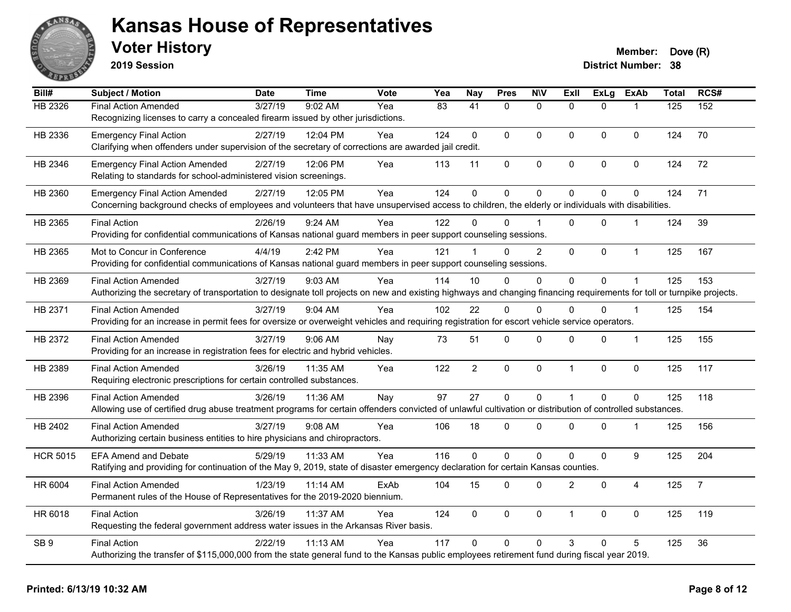

**2019 Session**

| Bill#           | Subject / Motion                                                                                                                                                       | <b>Date</b> | <b>Time</b> | <b>Vote</b> | Yea             | <b>Nay</b>      | <b>Pres</b>         | <b>NIV</b>     | <b>Exll</b>    | <b>ExLg</b>    | <b>ExAb</b>    | <b>Total</b> | RCS#           |
|-----------------|------------------------------------------------------------------------------------------------------------------------------------------------------------------------|-------------|-------------|-------------|-----------------|-----------------|---------------------|----------------|----------------|----------------|----------------|--------------|----------------|
| HB 2326         | <b>Final Action Amended</b>                                                                                                                                            | 3/27/19     | 9:02 AM     | Yea         | $\overline{83}$ | $\overline{41}$ | $\mathbf{0}$        | $\mathbf{0}$   | $\mathbf{0}$   | $\Omega$       |                | 125          | 152            |
|                 | Recognizing licenses to carry a concealed firearm issued by other jurisdictions.                                                                                       |             |             |             |                 |                 |                     |                |                |                |                |              |                |
| HB 2336         | <b>Emergency Final Action</b>                                                                                                                                          | 2/27/19     | 12:04 PM    | Yea         | 124             | $\Omega$        | $\Omega$            | $\mathbf{0}$   | $\Omega$       | $\Omega$       | $\mathbf 0$    | 124          | 70             |
|                 | Clarifying when offenders under supervision of the secretary of corrections are awarded jail credit.                                                                   |             |             |             |                 |                 |                     |                |                |                |                |              |                |
| HB 2346         | <b>Emergency Final Action Amended</b>                                                                                                                                  | 2/27/19     | 12:06 PM    | Yea         | 113             | 11              | $\mathsf{O}\xspace$ | $\pmb{0}$      | 0              | 0              | $\pmb{0}$      | 124          | 72             |
|                 | Relating to standards for school-administered vision screenings.                                                                                                       |             |             |             |                 |                 |                     |                |                |                |                |              |                |
| HB 2360         | <b>Emergency Final Action Amended</b>                                                                                                                                  | 2/27/19     | 12:05 PM    | Yea         | 124             | $\overline{0}$  | 0                   | $\mathbf 0$    | $\overline{0}$ | 0              | $\mathbf 0$    | 124          | 71             |
|                 | Concerning background checks of employees and volunteers that have unsupervised access to children, the elderly or individuals with disabilities.                      |             |             |             |                 |                 |                     |                |                |                |                |              |                |
| HB 2365         | <b>Final Action</b>                                                                                                                                                    | 2/26/19     | 9:24 AM     | Yea         | 122             | 0               | 0                   |                | $\Omega$       | $\Omega$       | $\mathbf{1}$   | 124          | 39             |
|                 | Providing for confidential communications of Kansas national guard members in peer support counseling sessions.                                                        |             |             |             |                 |                 |                     |                |                |                |                |              |                |
| HB 2365         | Mot to Concur in Conference                                                                                                                                            | 4/4/19      | 2:42 PM     | Yea         | 121             |                 | $\Omega$            | $\overline{2}$ | 0              | 0              | $\mathbf{1}$   | 125          | 167            |
|                 | Providing for confidential communications of Kansas national guard members in peer support counseling sessions.                                                        |             |             |             |                 |                 |                     |                |                |                |                |              |                |
| HB 2369         | <b>Final Action Amended</b>                                                                                                                                            | 3/27/19     | 9:03 AM     | Yea         | 114             | 10              | 0                   | $\mathbf{0}$   | 0              | 0              |                | 125          | 153            |
|                 | Authorizing the secretary of transportation to designate toll projects on new and existing highways and changing financing requirements for toll or turnpike projects. |             |             |             |                 |                 |                     |                |                |                |                |              |                |
| HB 2371         | <b>Final Action Amended</b>                                                                                                                                            | 3/27/19     | $9:04$ AM   | Yea         | 102             | 22              | $\Omega$            | $\Omega$       | $\Omega$       | $\Omega$       | $\overline{1}$ | 125          | 154            |
|                 | Providing for an increase in permit fees for oversize or overweight vehicles and requiring registration for escort vehicle service operators.                          |             |             |             |                 |                 |                     |                |                |                |                |              |                |
| HB 2372         | <b>Final Action Amended</b>                                                                                                                                            | 3/27/19     | 9:06 AM     | Nay         | 73              | 51              | 0                   | 0              | 0              | 0              | $\mathbf 1$    | 125          | 155            |
|                 | Providing for an increase in registration fees for electric and hybrid vehicles.                                                                                       |             |             |             |                 |                 |                     |                |                |                |                |              |                |
| HB 2389         | <b>Final Action Amended</b>                                                                                                                                            | 3/26/19     | 11:35 AM    | Yea         | 122             | $\overline{c}$  | 0                   | $\mathbf 0$    | $\mathbf{1}$   | 0              | $\mathbf 0$    | 125          | 117            |
|                 | Requiring electronic prescriptions for certain controlled substances.                                                                                                  |             |             |             |                 |                 |                     |                |                |                |                |              |                |
| HB 2396         | <b>Final Action Amended</b>                                                                                                                                            | 3/26/19     | 11:36 AM    | Nay         | 97              | 27              | $\mathbf 0$         | $\mathbf 0$    | $\mathbf{1}$   | $\overline{0}$ | $\mathbf 0$    | 125          | 118            |
|                 | Allowing use of certified drug abuse treatment programs for certain offenders convicted of unlawful cultivation or distribution of controlled substances.              |             |             |             |                 |                 |                     |                |                |                |                |              |                |
| HB 2402         | <b>Final Action Amended</b>                                                                                                                                            | 3/27/19     | $9:08$ AM   | Yea         | 106             | 18              | 0                   | $\mathbf 0$    | 0              | 0              | $\mathbf 1$    | 125          | 156            |
|                 | Authorizing certain business entities to hire physicians and chiropractors.                                                                                            |             |             |             |                 |                 |                     |                |                |                |                |              |                |
| <b>HCR 5015</b> | <b>EFA Amend and Debate</b>                                                                                                                                            | 5/29/19     | 11:33 AM    | Yea         | 116             | $\Omega$        | $\mathbf 0$         | $\mathbf 0$    | 0              | 0              | 9              | 125          | 204            |
|                 | Ratifying and providing for continuation of the May 9, 2019, state of disaster emergency declaration for certain Kansas counties.                                      |             |             |             |                 |                 |                     |                |                |                |                |              |                |
| HR 6004         | <b>Final Action Amended</b>                                                                                                                                            | 1/23/19     | 11:14 AM    | ExAb        | 104             | 15              | $\Omega$            | $\mathbf{0}$   | $\overline{2}$ | $\mathbf 0$    | $\overline{4}$ | 125          | $\overline{7}$ |
|                 | Permanent rules of the House of Representatives for the 2019-2020 biennium.                                                                                            |             |             |             |                 |                 |                     |                |                |                |                |              |                |
| HR 6018         | <b>Final Action</b>                                                                                                                                                    | 3/26/19     | 11:37 AM    | Yea         | 124             | 0               | $\Omega$            | $\mathbf 0$    | $\mathbf{1}$   | $\Omega$       | $\mathbf 0$    | 125          | 119            |
|                 | Requesting the federal government address water issues in the Arkansas River basis.                                                                                    |             |             |             |                 |                 |                     |                |                |                |                |              |                |
| SB <sub>9</sub> | <b>Final Action</b>                                                                                                                                                    | 2/22/19     | 11:13 AM    | Yea         | 117             | $\Omega$        | $\Omega$            | $\mathbf{0}$   | 3              | $\Omega$       | 5              | 125          | 36             |
|                 | Authorizing the transfer of \$115,000,000 from the state general fund to the Kansas public employees retirement fund during fiscal year 2019.                          |             |             |             |                 |                 |                     |                |                |                |                |              |                |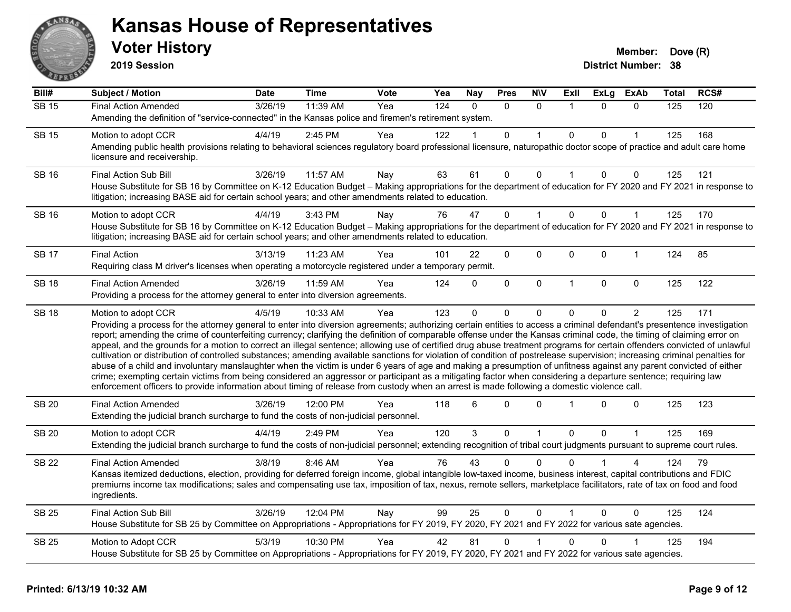

**2019 Session**

| Bill#        | <b>Subject / Motion</b>                                                                                                                                                                                                                                                                                                                                                                                                                                                                                                                                                                                                                                                                                                                                                                                                                                                                                                                                                                                                                                                                                                                                                                              | Date    | Time     | Vote | Yea              | <b>Nay</b> | <b>Pres</b>  | <b>N\V</b>   | ExII         | <b>ExLg</b> | <b>ExAb</b>    | <b>Total</b> | RCS# |
|--------------|------------------------------------------------------------------------------------------------------------------------------------------------------------------------------------------------------------------------------------------------------------------------------------------------------------------------------------------------------------------------------------------------------------------------------------------------------------------------------------------------------------------------------------------------------------------------------------------------------------------------------------------------------------------------------------------------------------------------------------------------------------------------------------------------------------------------------------------------------------------------------------------------------------------------------------------------------------------------------------------------------------------------------------------------------------------------------------------------------------------------------------------------------------------------------------------------------|---------|----------|------|------------------|------------|--------------|--------------|--------------|-------------|----------------|--------------|------|
| <b>SB 15</b> | <b>Final Action Amended</b>                                                                                                                                                                                                                                                                                                                                                                                                                                                                                                                                                                                                                                                                                                                                                                                                                                                                                                                                                                                                                                                                                                                                                                          | 3/26/19 | 11:39 AM | Yea  | $\overline{124}$ | $\Omega$   | $\Omega$     | $\Omega$     | -1           | $\Omega$    | $\Omega$       | 125          | 120  |
|              | Amending the definition of "service-connected" in the Kansas police and firemen's retirement system.                                                                                                                                                                                                                                                                                                                                                                                                                                                                                                                                                                                                                                                                                                                                                                                                                                                                                                                                                                                                                                                                                                 |         |          |      |                  |            |              |              |              |             |                |              |      |
| <b>SB 15</b> | Motion to adopt CCR                                                                                                                                                                                                                                                                                                                                                                                                                                                                                                                                                                                                                                                                                                                                                                                                                                                                                                                                                                                                                                                                                                                                                                                  | 4/4/19  | 2:45 PM  | Yea  | 122              |            | $\Omega$     |              | $\Omega$     | 0           |                | 125          | 168  |
|              | Amending public health provisions relating to behavioral sciences regulatory board professional licensure, naturopathic doctor scope of practice and adult care home<br>licensure and receivership.                                                                                                                                                                                                                                                                                                                                                                                                                                                                                                                                                                                                                                                                                                                                                                                                                                                                                                                                                                                                  |         |          |      |                  |            |              |              |              |             |                |              |      |
| <b>SB 16</b> | <b>Final Action Sub Bill</b>                                                                                                                                                                                                                                                                                                                                                                                                                                                                                                                                                                                                                                                                                                                                                                                                                                                                                                                                                                                                                                                                                                                                                                         | 3/26/19 | 11:57 AM | Nay  | 63               | 61         | 0            | $\mathbf 0$  | $\mathbf{1}$ | 0           | 0              | 125          | 121  |
|              | House Substitute for SB 16 by Committee on K-12 Education Budget - Making appropriations for the department of education for FY 2020 and FY 2021 in response to<br>litigation; increasing BASE aid for certain school years; and other amendments related to education.                                                                                                                                                                                                                                                                                                                                                                                                                                                                                                                                                                                                                                                                                                                                                                                                                                                                                                                              |         |          |      |                  |            |              |              |              |             |                |              |      |
| <b>SB 16</b> | Motion to adopt CCR                                                                                                                                                                                                                                                                                                                                                                                                                                                                                                                                                                                                                                                                                                                                                                                                                                                                                                                                                                                                                                                                                                                                                                                  | 4/4/19  | 3:43 PM  | Nay  | 76               | 47         | 0            |              | $\Omega$     | $\mathbf 0$ | $\mathbf{1}$   | 125          | 170  |
|              | House Substitute for SB 16 by Committee on K-12 Education Budget - Making appropriations for the department of education for FY 2020 and FY 2021 in response to<br>litigation; increasing BASE aid for certain school years; and other amendments related to education.                                                                                                                                                                                                                                                                                                                                                                                                                                                                                                                                                                                                                                                                                                                                                                                                                                                                                                                              |         |          |      |                  |            |              |              |              |             |                |              |      |
| <b>SB 17</b> | <b>Final Action</b>                                                                                                                                                                                                                                                                                                                                                                                                                                                                                                                                                                                                                                                                                                                                                                                                                                                                                                                                                                                                                                                                                                                                                                                  | 3/13/19 | 11:23 AM | Yea  | 101              | 22         | 0            | 0            | $\Omega$     | 0           | $\mathbf{1}$   | 124          | 85   |
|              | Requiring class M driver's licenses when operating a motorcycle registered under a temporary permit.                                                                                                                                                                                                                                                                                                                                                                                                                                                                                                                                                                                                                                                                                                                                                                                                                                                                                                                                                                                                                                                                                                 |         |          |      |                  |            |              |              |              |             |                |              |      |
| <b>SB 18</b> | <b>Final Action Amended</b>                                                                                                                                                                                                                                                                                                                                                                                                                                                                                                                                                                                                                                                                                                                                                                                                                                                                                                                                                                                                                                                                                                                                                                          | 3/26/19 | 11:59 AM | Yea  | 124              | 0          | 0            | $\mathbf 0$  | $\mathbf{1}$ | $\Omega$    | $\mathbf 0$    | 125          | 122  |
|              | Providing a process for the attorney general to enter into diversion agreements.                                                                                                                                                                                                                                                                                                                                                                                                                                                                                                                                                                                                                                                                                                                                                                                                                                                                                                                                                                                                                                                                                                                     |         |          |      |                  |            |              |              |              |             |                |              |      |
| <b>SB 18</b> | Motion to adopt CCR                                                                                                                                                                                                                                                                                                                                                                                                                                                                                                                                                                                                                                                                                                                                                                                                                                                                                                                                                                                                                                                                                                                                                                                  | 4/5/19  | 10:33 AM | Yea  | 123              | 0          | 0            | $\mathbf 0$  | $\Omega$     | 0           | $\overline{2}$ | 125          | 171  |
|              | Providing a process for the attorney general to enter into diversion agreements; authorizing certain entities to access a criminal defendant's presentence investigation<br>report; amending the crime of counterfeiting currency; clarifying the definition of comparable offense under the Kansas criminal code, the timing of claiming error on<br>appeal, and the grounds for a motion to correct an illegal sentence; allowing use of certified drug abuse treatment programs for certain offenders convicted of unlawful<br>cultivation or distribution of controlled substances; amending available sanctions for violation of condition of postrelease supervision; increasing criminal penalties for<br>abuse of a child and involuntary manslaughter when the victim is under 6 years of age and making a presumption of unfitness against any parent convicted of either<br>crime; exempting certain victims from being considered an aggressor or participant as a mitigating factor when considering a departure sentence; requiring law<br>enforcement officers to provide information about timing of release from custody when an arrest is made following a domestic violence call. |         |          |      |                  |            |              |              |              |             |                |              |      |
| <b>SB 20</b> | <b>Final Action Amended</b><br>Extending the judicial branch surcharge to fund the costs of non-judicial personnel.                                                                                                                                                                                                                                                                                                                                                                                                                                                                                                                                                                                                                                                                                                                                                                                                                                                                                                                                                                                                                                                                                  | 3/26/19 | 12:00 PM | Yea  | 118              | 6          | $\Omega$     | $\mathbf{0}$ |              | $\Omega$    | $\Omega$       | 125          | 123  |
| <b>SB 20</b> | Motion to adopt CCR                                                                                                                                                                                                                                                                                                                                                                                                                                                                                                                                                                                                                                                                                                                                                                                                                                                                                                                                                                                                                                                                                                                                                                                  | 4/4/19  | 2:49 PM  | Yea  | 120              | 3          | $\mathbf 0$  | $\mathbf{1}$ | $\mathbf 0$  | 0           | $\mathbf{1}$   | 125          | 169  |
|              | Extending the judicial branch surcharge to fund the costs of non-judicial personnel; extending recognition of tribal court judgments pursuant to supreme court rules.                                                                                                                                                                                                                                                                                                                                                                                                                                                                                                                                                                                                                                                                                                                                                                                                                                                                                                                                                                                                                                |         |          |      |                  |            |              |              |              |             |                |              |      |
| <b>SB 22</b> | <b>Final Action Amended</b>                                                                                                                                                                                                                                                                                                                                                                                                                                                                                                                                                                                                                                                                                                                                                                                                                                                                                                                                                                                                                                                                                                                                                                          | 3/8/19  | 8:46 AM  | Yea  | 76               | 43         | $\Omega$     | $\Omega$     |              |             |                | 124          | 79   |
|              | Kansas itemized deductions, election, providing for deferred foreign income, global intangible low-taxed income, business interest, capital contributions and FDIC<br>premiums income tax modifications; sales and compensating use tax, imposition of tax, nexus, remote sellers, marketplace facilitators, rate of tax on food and food<br>ingredients.                                                                                                                                                                                                                                                                                                                                                                                                                                                                                                                                                                                                                                                                                                                                                                                                                                            |         |          |      |                  |            |              |              |              |             |                |              |      |
| <b>SB 25</b> | <b>Final Action Sub Bill</b>                                                                                                                                                                                                                                                                                                                                                                                                                                                                                                                                                                                                                                                                                                                                                                                                                                                                                                                                                                                                                                                                                                                                                                         | 3/26/19 | 12:04 PM | Nay  | 99               | 25         | $\mathbf{0}$ | $\mathbf 0$  |              | $\Omega$    | $\Omega$       | 125          | 124  |
|              | House Substitute for SB 25 by Committee on Appropriations - Appropriations for FY 2019, FY 2020, FY 2021 and FY 2022 for various sate agencies.                                                                                                                                                                                                                                                                                                                                                                                                                                                                                                                                                                                                                                                                                                                                                                                                                                                                                                                                                                                                                                                      |         |          |      |                  |            |              |              |              |             |                |              |      |
| <b>SB 25</b> | Motion to Adopt CCR                                                                                                                                                                                                                                                                                                                                                                                                                                                                                                                                                                                                                                                                                                                                                                                                                                                                                                                                                                                                                                                                                                                                                                                  | 5/3/19  | 10:30 PM | Yea  | 42               | 81         | 0            |              | 0            | 0           |                | 125          | 194  |
|              | House Substitute for SB 25 by Committee on Appropriations - Appropriations for FY 2019, FY 2020, FY 2021 and FY 2022 for various sate agencies.                                                                                                                                                                                                                                                                                                                                                                                                                                                                                                                                                                                                                                                                                                                                                                                                                                                                                                                                                                                                                                                      |         |          |      |                  |            |              |              |              |             |                |              |      |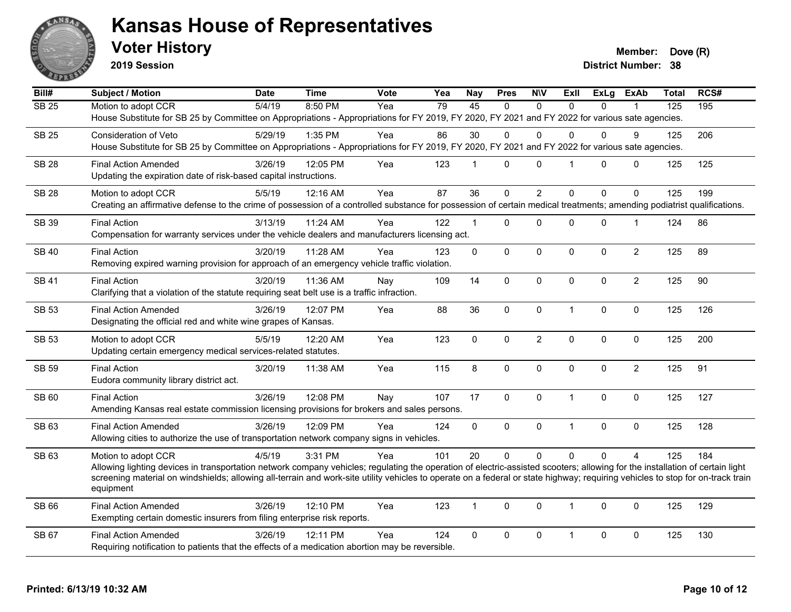

**2019 Session**

**Voter History Member: Dove (R)** 

| Bill#             | Subject / Motion                                                                                                                                                                                    | <b>Date</b> | <b>Time</b> | Vote | Yea | <b>Nay</b>      | <b>Pres</b>    | <b>NIV</b>     | <b>ExII</b>  | <b>ExLg</b>  | <b>ExAb</b>    | Total | RCS# |
|-------------------|-----------------------------------------------------------------------------------------------------------------------------------------------------------------------------------------------------|-------------|-------------|------|-----|-----------------|----------------|----------------|--------------|--------------|----------------|-------|------|
| $\overline{SB25}$ | Motion to adopt CCR                                                                                                                                                                                 | 5/4/19      | 8:50 PM     | Yea  | 79  | $\overline{45}$ | $\Omega$       | $\Omega$       | $\Omega$     | $\Omega$     |                | 125   | 195  |
|                   | House Substitute for SB 25 by Committee on Appropriations - Appropriations for FY 2019, FY 2020, FY 2021 and FY 2022 for various sate agencies.                                                     |             |             |      |     |                 |                |                |              |              |                |       |      |
| <b>SB 25</b>      | Consideration of Veto                                                                                                                                                                               | 5/29/19     | 1:35 PM     | Yea  | 86  | 30              | $\Omega$       | $\Omega$       | $\Omega$     | $\mathbf{0}$ | 9              | 125   | 206  |
|                   | House Substitute for SB 25 by Committee on Appropriations - Appropriations for FY 2019, FY 2020, FY 2021 and FY 2022 for various sate agencies.                                                     |             |             |      |     |                 |                |                |              |              |                |       |      |
| <b>SB 28</b>      | <b>Final Action Amended</b>                                                                                                                                                                         | 3/26/19     | 12:05 PM    | Yea  | 123 | $\mathbf 1$     | $\Omega$       | $\mathbf 0$    | 1            | $\Omega$     | $\mathbf 0$    | 125   | 125  |
|                   | Updating the expiration date of risk-based capital instructions.                                                                                                                                    |             |             |      |     |                 |                |                |              |              |                |       |      |
| <b>SB 28</b>      | Motion to adopt CCR                                                                                                                                                                                 | 5/5/19      | 12:16 AM    | Yea  | 87  | 36              | 0              | $\overline{2}$ | $\Omega$     | 0            | $\Omega$       | 125   | 199  |
|                   | Creating an affirmative defense to the crime of possession of a controlled substance for possession of certain medical treatments; amending podiatrist qualifications.                              |             |             |      |     |                 |                |                |              |              |                |       |      |
|                   |                                                                                                                                                                                                     |             |             |      |     |                 |                |                |              |              |                |       |      |
| <b>SB 39</b>      | <b>Final Action</b>                                                                                                                                                                                 | 3/13/19     | $11:24$ AM  | Yea  | 122 | 1               | $\Omega$       | $\mathbf 0$    | $\Omega$     | 0            | $\mathbf{1}$   | 124   | 86   |
|                   | Compensation for warranty services under the vehicle dealers and manufacturers licensing act.                                                                                                       |             |             |      |     |                 |                |                |              |              |                |       |      |
| <b>SB40</b>       | <b>Final Action</b>                                                                                                                                                                                 | 3/20/19     | 11:28 AM    | Yea  | 123 | 0               | $\mathbf 0$    | $\mathbf 0$    | $\Omega$     | 0            | $\overline{2}$ | 125   | 89   |
|                   | Removing expired warning provision for approach of an emergency vehicle traffic violation.                                                                                                          |             |             |      |     |                 |                |                |              |              |                |       |      |
| <b>SB 41</b>      | <b>Final Action</b>                                                                                                                                                                                 | 3/20/19     | 11:36 AM    | Nay  | 109 | 14              | $\mathbf{0}$   | $\mathbf{0}$   | $\Omega$     | $\Omega$     | $\overline{c}$ | 125   | 90   |
|                   | Clarifying that a violation of the statute requiring seat belt use is a traffic infraction.                                                                                                         |             |             |      |     |                 |                |                |              |              |                |       |      |
| <b>SB 53</b>      | <b>Final Action Amended</b>                                                                                                                                                                         | 3/26/19     | 12:07 PM    | Yea  | 88  | 36              | 0              | $\mathbf 0$    | $\mathbf{1}$ | 0            | 0              | 125   | 126  |
|                   | Designating the official red and white wine grapes of Kansas.                                                                                                                                       |             |             |      |     |                 |                |                |              |              |                |       |      |
|                   |                                                                                                                                                                                                     |             |             |      |     |                 |                |                |              |              |                |       |      |
| <b>SB 53</b>      | Motion to adopt CCR                                                                                                                                                                                 | 5/5/19      | 12:20 AM    | Yea  | 123 | $\mathbf 0$     | $\mathbf 0$    | $\overline{c}$ | $\mathbf 0$  | $\pmb{0}$    | $\pmb{0}$      | 125   | 200  |
|                   | Updating certain emergency medical services-related statutes.                                                                                                                                       |             |             |      |     |                 |                |                |              |              |                |       |      |
| <b>SB 59</b>      | <b>Final Action</b>                                                                                                                                                                                 | 3/20/19     | 11:38 AM    | Yea  | 115 | 8               | $\mathbf 0$    | $\mathbf 0$    | 0            | $\mathbf 0$  | $\overline{2}$ | 125   | 91   |
|                   | Eudora community library district act.                                                                                                                                                              |             |             |      |     |                 |                |                |              |              |                |       |      |
| SB 60             | <b>Final Action</b>                                                                                                                                                                                 | 3/26/19     | 12:08 PM    | Nay  | 107 | 17              | 0              | $\pmb{0}$      | $\mathbf{1}$ | 0            | $\mathbf 0$    | 125   | 127  |
|                   | Amending Kansas real estate commission licensing provisions for brokers and sales persons.                                                                                                          |             |             |      |     |                 |                |                |              |              |                |       |      |
| SB 63             | <b>Final Action Amended</b>                                                                                                                                                                         | 3/26/19     | 12:09 PM    | Yea  | 124 | 0               | $\mathbf 0$    | $\pmb{0}$      | $\mathbf{1}$ | 0            | $\pmb{0}$      | 125   | 128  |
|                   | Allowing cities to authorize the use of transportation network company signs in vehicles.                                                                                                           |             |             |      |     |                 |                |                |              |              |                |       |      |
|                   |                                                                                                                                                                                                     |             |             |      |     |                 |                |                |              |              |                |       |      |
| SB 63             | Motion to adopt CCR<br>Allowing lighting devices in transportation network company vehicles; regulating the operation of electric-assisted scooters; allowing for the installation of certain light | 4/5/19      | 3:31 PM     | Yea  | 101 | 20              | $\overline{0}$ | $\Omega$       | $\Omega$     | $\Omega$     | $\overline{4}$ | 125   | 184  |
|                   | screening material on windshields; allowing all-terrain and work-site utility vehicles to operate on a federal or state highway; requiring vehicles to stop for on-track train                      |             |             |      |     |                 |                |                |              |              |                |       |      |
|                   | equipment                                                                                                                                                                                           |             |             |      |     |                 |                |                |              |              |                |       |      |
| SB 66             | <b>Final Action Amended</b>                                                                                                                                                                         | 3/26/19     | 12:10 PM    | Yea  | 123 | 1               | $\Omega$       | $\mathbf 0$    | $\mathbf{1}$ | $\Omega$     | 0              | 125   | 129  |
|                   | Exempting certain domestic insurers from filing enterprise risk reports.                                                                                                                            |             |             |      |     |                 |                |                |              |              |                |       |      |
|                   |                                                                                                                                                                                                     |             |             |      |     |                 |                |                |              |              |                |       |      |
| SB 67             | <b>Final Action Amended</b>                                                                                                                                                                         | 3/26/19     | 12:11 PM    | Yea  | 124 | 0               | 0              | $\pmb{0}$      | 1            | 0            | 0              | 125   | 130  |
|                   | Requiring notification to patients that the effects of a medication abortion may be reversible.                                                                                                     |             |             |      |     |                 |                |                |              |              |                |       |      |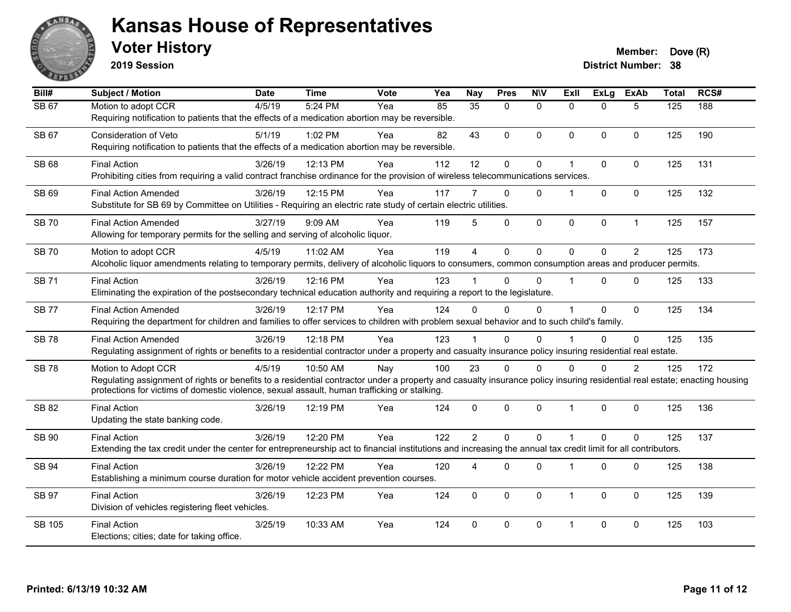

**2019 Session**

| Bill#        | <b>Subject / Motion</b>                                                                                                                                                   | <b>Date</b> | <b>Time</b> | <b>Vote</b> | Yea | <b>Nay</b>     | <b>Pres</b>  | <b>N\V</b>   | <b>Exll</b> | <b>ExLg</b> | <b>ExAb</b>    | <b>Total</b>     | RCS# |
|--------------|---------------------------------------------------------------------------------------------------------------------------------------------------------------------------|-------------|-------------|-------------|-----|----------------|--------------|--------------|-------------|-------------|----------------|------------------|------|
| <b>SB 67</b> | Motion to adopt CCR                                                                                                                                                       | 4/5/19      | 5:24 PM     | Yea         | 85  | 35             | $\Omega$     | $\mathbf{0}$ | $\Omega$    | $\Omega$    | 5              | $\overline{125}$ | 188  |
|              | Requiring notification to patients that the effects of a medication abortion may be reversible.                                                                           |             |             |             |     |                |              |              |             |             |                |                  |      |
| <b>SB 67</b> | Consideration of Veto                                                                                                                                                     | 5/1/19      | 1:02 PM     | Yea         | 82  | 43             | 0            | $\mathbf{0}$ | $\Omega$    | $\Omega$    | $\mathbf{0}$   | 125              | 190  |
|              | Requiring notification to patients that the effects of a medication abortion may be reversible.                                                                           |             |             |             |     |                |              |              |             |             |                |                  |      |
| SB 68        | <b>Final Action</b>                                                                                                                                                       | 3/26/19     | 12:13 PM    | Yea         | 112 | 12             | 0            | $\pmb{0}$    |             | 0           | $\mathbf 0$    | 125              | 131  |
|              | Prohibiting cities from requiring a valid contract franchise ordinance for the provision of wireless telecommunications services.                                         |             |             |             |     |                |              |              |             |             |                |                  |      |
| SB 69        | <b>Final Action Amended</b>                                                                                                                                               | 3/26/19     | 12:15 PM    | Yea         | 117 |                | $\Omega$     | $\Omega$     |             | $\Omega$    | $\Omega$       | 125              | 132  |
|              | Substitute for SB 69 by Committee on Utilities - Requiring an electric rate study of certain electric utilities.                                                          |             |             |             |     |                |              |              |             |             |                |                  |      |
| <b>SB 70</b> | <b>Final Action Amended</b>                                                                                                                                               | 3/27/19     | 9:09 AM     | Yea         | 119 | 5              | $\Omega$     | $\mathbf 0$  | $\mathbf 0$ | 0           | $\mathbf{1}$   | 125              | 157  |
|              | Allowing for temporary permits for the selling and serving of alcoholic liquor.                                                                                           |             |             |             |     |                |              |              |             |             |                |                  |      |
| <b>SB 70</b> | Motion to adopt CCR                                                                                                                                                       | 4/5/19      | 11:02 AM    | Yea         | 119 | $\overline{4}$ | 0            | $\mathbf 0$  | $\Omega$    | $\Omega$    | 2              | 125              | 173  |
|              | Alcoholic liquor amendments relating to temporary permits, delivery of alcoholic liquors to consumers, common consumption areas and producer permits.                     |             |             |             |     |                |              |              |             |             |                |                  |      |
| <b>SB 71</b> | <b>Final Action</b>                                                                                                                                                       | 3/26/19     | 12:16 PM    | Yea         | 123 |                | $\Omega$     | $\Omega$     |             | $\Omega$    | $\mathbf{0}$   | 125              | 133  |
|              | Eliminating the expiration of the postsecondary technical education authority and requiring a report to the legislature.                                                  |             |             |             |     |                |              |              |             |             |                |                  |      |
| <b>SB 77</b> | <b>Final Action Amended</b>                                                                                                                                               | 3/26/19     | 12:17 PM    | Yea         | 124 | $\Omega$       | $\Omega$     | 0            |             | $\Omega$    | $\mathbf{0}$   | 125              | 134  |
|              | Requiring the department for children and families to offer services to children with problem sexual behavior and to such child's family.                                 |             |             |             |     |                |              |              |             |             |                |                  |      |
| <b>SB78</b>  | <b>Final Action Amended</b>                                                                                                                                               | 3/26/19     | 12:18 PM    | Yea         | 123 |                | 0            | $\Omega$     |             | $\Omega$    | $\mathbf 0$    | 125              | 135  |
|              | Regulating assignment of rights or benefits to a residential contractor under a property and casualty insurance policy insuring residential real estate.                  |             |             |             |     |                |              |              |             |             |                |                  |      |
| <b>SB78</b>  | Motion to Adopt CCR                                                                                                                                                       | 4/5/19      | 10:50 AM    | Nay         | 100 | 23             | $\Omega$     | $\Omega$     | $\Omega$    | $\Omega$    | $\overline{2}$ | 125              | 172  |
|              | Regulating assignment of rights or benefits to a residential contractor under a property and casualty insurance policy insuring residential real estate; enacting housing |             |             |             |     |                |              |              |             |             |                |                  |      |
|              | protections for victims of domestic violence, sexual assault, human trafficking or stalking.                                                                              |             |             |             |     |                |              |              |             |             |                |                  |      |
| SB 82        | <b>Final Action</b>                                                                                                                                                       | 3/26/19     | 12:19 PM    | Yea         | 124 | $\Omega$       | 0            | $\mathbf 0$  | 1           | $\Omega$    | $\mathbf 0$    | 125              | 136  |
|              | Updating the state banking code.                                                                                                                                          |             |             |             |     |                |              |              |             |             |                |                  |      |
| SB 90        | <b>Final Action</b>                                                                                                                                                       | 3/26/19     | 12:20 PM    | Yea         | 122 | $\overline{2}$ | $\mathbf{0}$ | $\mathbf 0$  |             | $\Omega$    | $\mathbf 0$    | 125              | 137  |
|              | Extending the tax credit under the center for entrepreneurship act to financial institutions and increasing the annual tax credit limit for all contributors.             |             |             |             |     |                |              |              |             |             |                |                  |      |
| <b>SB 94</b> | <b>Final Action</b>                                                                                                                                                       | 3/26/19     | 12:22 PM    | Yea         | 120 | 4              | $\mathbf{0}$ | 0            |             | $\Omega$    | $\mathbf 0$    | 125              | 138  |
|              | Establishing a minimum course duration for motor vehicle accident prevention courses.                                                                                     |             |             |             |     |                |              |              |             |             |                |                  |      |
| <b>SB 97</b> | <b>Final Action</b>                                                                                                                                                       | 3/26/19     | 12:23 PM    | Yea         | 124 | $\mathbf{0}$   | $\Omega$     | $\mathbf{0}$ | $\mathbf 1$ | $\Omega$    | $\mathbf{0}$   | 125              | 139  |
|              | Division of vehicles registering fleet vehicles.                                                                                                                          |             |             |             |     |                |              |              |             |             |                |                  |      |
| SB 105       | <b>Final Action</b>                                                                                                                                                       | 3/25/19     | 10:33 AM    | Yea         | 124 | $\Omega$       | $\Omega$     | $\mathbf{0}$ | 1           | $\Omega$    | $\mathbf{0}$   | 125              | 103  |
|              | Elections; cities; date for taking office.                                                                                                                                |             |             |             |     |                |              |              |             |             |                |                  |      |